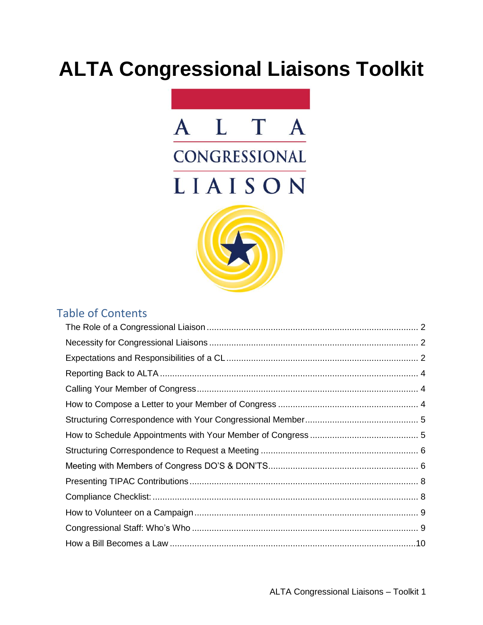# **ALTA Congressional Liaisons Toolkit**



#### Table of Contents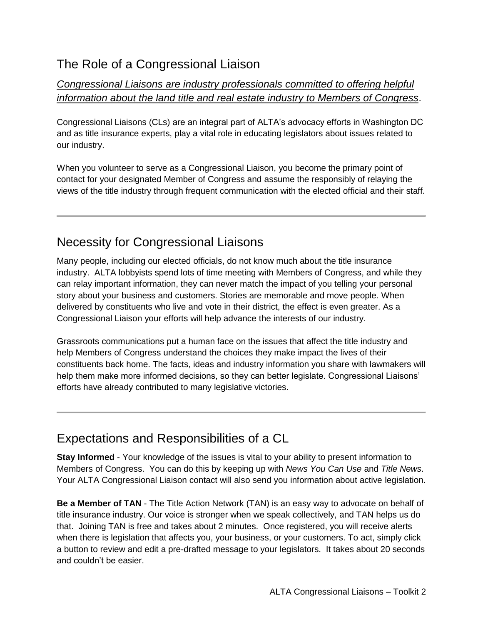## <span id="page-1-0"></span>The Role of a Congressional Liaison

#### *Congressional Liaisons are industry professionals committed to offering helpful information about the land title and real estate industry to Members of Congress*.

Congressional Liaisons (CLs) are an integral part of ALTA's advocacy efforts in Washington DC and as title insurance experts, play a vital role in educating legislators about issues related to our industry.

When you volunteer to serve as a Congressional Liaison, you become the primary point of contact for your designated Member of Congress and assume the responsibly of relaying the views of the title industry through frequent communication with the elected official and their staff.

# <span id="page-1-1"></span>Necessity for Congressional Liaisons

Many people, including our elected officials, do not know much about the title insurance industry. ALTA lobbyists spend lots of time meeting with Members of Congress, and while they can relay important information, they can never match the impact of you telling your personal story about your business and customers. Stories are memorable and move people. When delivered by constituents who live and vote in their district, the effect is even greater. As a Congressional Liaison your efforts will help advance the interests of our industry.

Grassroots communications put a human face on the issues that affect the title industry and help Members of Congress understand the choices they make impact the lives of their constituents back home. The facts, ideas and industry information you share with lawmakers will help them make more informed decisions, so they can better legislate. Congressional Liaisons' efforts have already contributed to many legislative victories.

## <span id="page-1-2"></span>Expectations and Responsibilities of a CL

**Stay Informed** - Your knowledge of the issues is vital to your ability to present information to Members of Congress. You can do this by keeping up with *News You Can Use* and *Title News*. Your ALTA Congressional Liaison contact will also send you information about active legislation.

**Be a Member of TAN** - The Title Action Network (TAN) is an easy way to advocate on behalf of title insurance industry. Our voice is stronger when we speak collectively, and TAN helps us do that. Joining TAN is free and takes about 2 minutes. Once registered, you will receive alerts when there is legislation that affects you, your business, or your customers. To act, simply click a button to review and edit a pre-drafted message to your legislators. It takes about 20 seconds and couldn't be easier.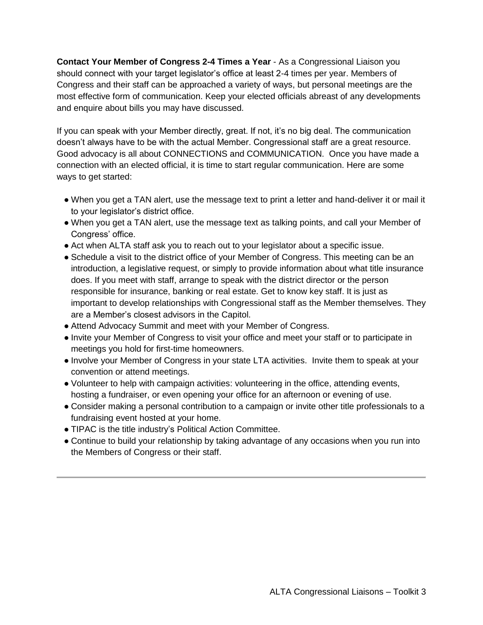**Contact Your Member of Congress 2-4 Times a Year** - As a Congressional Liaison you should connect with your target legislator's office at least 2-4 times per year. Members of Congress and their staff can be approached a variety of ways, but personal meetings are the most effective form of communication. Keep your elected officials abreast of any developments and enquire about bills you may have discussed.

If you can speak with your Member directly, great. If not, it's no big deal. The communication doesn't always have to be with the actual Member. Congressional staff are a great resource. Good advocacy is all about CONNECTIONS and COMMUNICATION. Once you have made a connection with an elected official, it is time to start regular communication. Here are some ways to get started:

- When you get a TAN alert, use the message text to print a letter and hand-deliver it or mail it to your legislator's district office.
- When you get a TAN alert, use the message text as talking points, and call your Member of Congress' office.
- Act when ALTA staff ask you to reach out to your legislator about a specific issue.
- Schedule a visit to the district office of your Member of Congress. This meeting can be an introduction, a legislative request, or simply to provide information about what title insurance does. If you meet with staff, arrange to speak with the district director or the person responsible for insurance, banking or real estate. Get to know key staff. It is just as important to develop relationships with Congressional staff as the Member themselves. They are a Member's closest advisors in the Capitol.
- Attend Advocacy Summit and meet with your Member of Congress.
- Invite your Member of Congress to visit your office and meet your staff or to participate in meetings you hold for first-time homeowners.
- Involve your Member of Congress in your state LTA activities. Invite them to speak at your convention or attend meetings.
- Volunteer to help with campaign activities: volunteering in the office, attending events, hosting a fundraiser, or even opening your office for an afternoon or evening of use.
- Consider making a personal contribution to a campaign or invite other title professionals to a fundraising event hosted at your home.
- TIPAC is the title industry's Political Action Committee.
- Continue to build your relationship by taking advantage of any occasions when you run into the Members of Congress or their staff.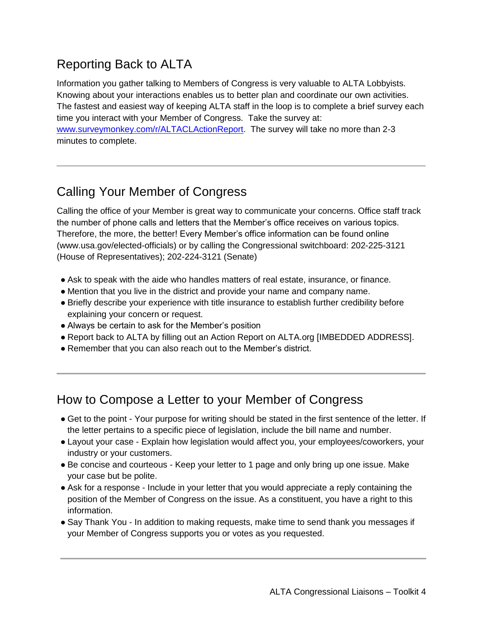# <span id="page-3-0"></span>Reporting Back to ALTA

Information you gather talking to Members of Congress is very valuable to ALTA Lobbyists. Knowing about your interactions enables us to better plan and coordinate our own activities. The fastest and easiest way of keeping ALTA staff in the loop is to complete a brief survey each time you interact with your Member of Congress. Take the survey at: [www.surveymonkey.com/r/ALTACLActionReport.](http://www.surveymonkey.com/r/ALTACLActionReport) The survey will take no more than 2-3 minutes to complete.

# <span id="page-3-1"></span>Calling Your Member of Congress

Calling the office of your Member is great way to communicate your concerns. Office staff track the number of phone calls and letters that the Member's office receives on various topics. Therefore, the more, the better! Every Member's office information can be found online (www.usa.gov/elected-officials) or by calling the Congressional switchboard: 202-225-3121 (House of Representatives); 202-224-3121 (Senate)

- Ask to speak with the aide who handles matters of real estate, insurance, or finance.
- Mention that you live in the district and provide your name and company name.
- Briefly describe your experience with title insurance to establish further credibility before explaining your concern or request.
- Always be certain to ask for the Member's position
- Report back to ALTA by filling out an Action Report on ALTA.org [IMBEDDED ADDRESS].
- Remember that you can also reach out to the Member's district.

#### <span id="page-3-2"></span>How to Compose a Letter to your Member of Congress

- Get to the point Your purpose for writing should be stated in the first sentence of the letter. If the letter pertains to a specific piece of legislation, include the bill name and number.
- Layout your case Explain how legislation would affect you, your employees/coworkers, your industry or your customers.
- Be concise and courteous Keep your letter to 1 page and only bring up one issue. Make your case but be polite.
- Ask for a response Include in your letter that you would appreciate a reply containing the position of the Member of Congress on the issue. As a constituent, you have a right to this information.
- Say Thank You In addition to making requests, make time to send thank you messages if your Member of Congress supports you or votes as you requested.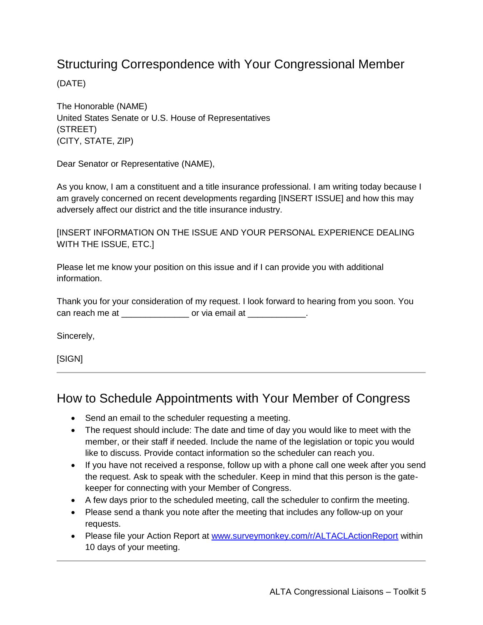### <span id="page-4-0"></span>Structuring Correspondence with Your Congressional Member

(DATE)

The Honorable (NAME) United States Senate or U.S. House of Representatives (STREET) (CITY, STATE, ZIP)

Dear Senator or Representative (NAME),

As you know, I am a constituent and a title insurance professional. I am writing today because I am gravely concerned on recent developments regarding [INSERT ISSUE] and how this may adversely affect our district and the title insurance industry.

[INSERT INFORMATION ON THE ISSUE AND YOUR PERSONAL EXPERIENCE DEALING WITH THE ISSUE, ETC.]

Please let me know your position on this issue and if I can provide you with additional information.

Thank you for your consideration of my request. I look forward to hearing from you soon. You can reach me at  $\qquad \qquad \text{or via email at} \qquad \qquad \ldots$ 

Sincerely,

[SIGN]

#### <span id="page-4-1"></span>How to Schedule Appointments with Your Member of Congress

- Send an email to the scheduler requesting a meeting.
- The request should include: The date and time of day you would like to meet with the member, or their staff if needed. Include the name of the legislation or topic you would like to discuss. Provide contact information so the scheduler can reach you.
- If you have not received a response, follow up with a phone call one week after you send the request. Ask to speak with the scheduler. Keep in mind that this person is the gatekeeper for connecting with your Member of Congress.
- A few days prior to the scheduled meeting, call the scheduler to confirm the meeting.
- Please send a thank you note after the meeting that includes any follow-up on your requests.
- Please file your Action Report at [www.surveymonkey.com/r/ALTACLActionReport](http://www.surveymonkey.com/r/ALTACLActionReport) within 10 days of your meeting.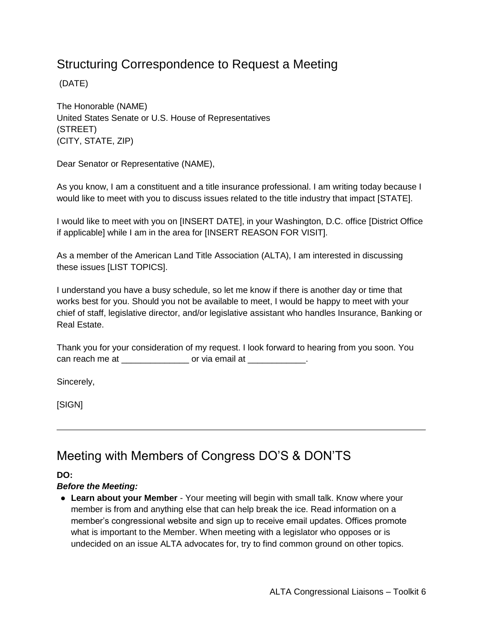## <span id="page-5-0"></span>Structuring Correspondence to Request a Meeting

(DATE)

The Honorable (NAME) United States Senate or U.S. House of Representatives (STREET) (CITY, STATE, ZIP)

Dear Senator or Representative (NAME),

As you know, I am a constituent and a title insurance professional. I am writing today because I would like to meet with you to discuss issues related to the title industry that impact [STATE].

I would like to meet with you on [INSERT DATE], in your Washington, D.C. office [District Office if applicable] while I am in the area for [INSERT REASON FOR VISIT].

As a member of the American Land Title Association (ALTA), I am interested in discussing these issues [LIST TOPICS].

I understand you have a busy schedule, so let me know if there is another day or time that works best for you. Should you not be available to meet, I would be happy to meet with your chief of staff, legislative director, and/or legislative assistant who handles Insurance, Banking or Real Estate.

Thank you for your consideration of my request. I look forward to hearing from you soon. You can reach me at \_\_\_\_\_\_\_\_\_\_\_\_\_\_\_\_\_\_\_ or via email at \_\_\_\_\_\_\_\_\_\_\_\_\_\_\_\_\_\_\_\_\_\_\_\_\_\_\_\_

Sincerely,

[SIGN]

## <span id="page-5-1"></span>Meeting with Members of Congress DO'S & DON'TS

**DO:** 

#### *Before the Meeting:*

● **Learn about your Member** - Your meeting will begin with small talk. Know where your member is from and anything else that can help break the ice. Read information on a member's congressional website and sign up to receive email updates. Offices promote what is important to the Member. When meeting with a legislator who opposes or is undecided on an issue ALTA advocates for, try to find common ground on other topics.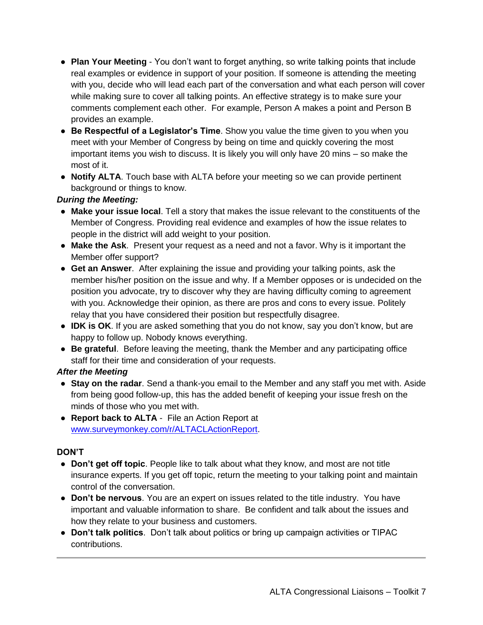- **Plan Your Meeting** You don't want to forget anything, so write talking points that include real examples or evidence in support of your position. If someone is attending the meeting with you, decide who will lead each part of the conversation and what each person will cover while making sure to cover all talking points. An effective strategy is to make sure your comments complement each other. For example, Person A makes a point and Person B provides an example.
- **Be Respectful of a Legislator's Time**. Show you value the time given to you when you meet with your Member of Congress by being on time and quickly covering the most important items you wish to discuss. It is likely you will only have 20 mins – so make the most of it.
- **Notify ALTA**. Touch base with ALTA before your meeting so we can provide pertinent background or things to know.

#### *During the Meeting:*

- **Make your issue local**. Tell a story that makes the issue relevant to the constituents of the Member of Congress. Providing real evidence and examples of how the issue relates to people in the district will add weight to your position.
- **Make the Ask**. Present your request as a need and not a favor. Why is it important the Member offer support?
- **Get an Answer**. After explaining the issue and providing your talking points, ask the member his/her position on the issue and why. If a Member opposes or is undecided on the position you advocate, try to discover why they are having difficulty coming to agreement with you. Acknowledge their opinion, as there are pros and cons to every issue. Politely relay that you have considered their position but respectfully disagree.
- **IDK is OK**. If you are asked something that you do not know, say you don't know, but are happy to follow up. Nobody knows everything.
- **Be grateful**. Before leaving the meeting, thank the Member and any participating office staff for their time and consideration of your requests.

#### *After the Meeting*

- **Stay on the radar**. Send a thank-you email to the Member and any staff you met with. Aside from being good follow-up, this has the added benefit of keeping your issue fresh on the minds of those who you met with.
- **Report back to ALTA** File an Action Report at [www.surveymonkey.com/r/ALTACLActionReport.](http://www.surveymonkey.com/r/ALTACLActionReport)

#### **DON'T**

- **Don't get off topic**. People like to talk about what they know, and most are not title insurance experts. If you get off topic, return the meeting to your talking point and maintain control of the conversation.
- **Don't be nervous**. You are an expert on issues related to the title industry. You have important and valuable information to share. Be confident and talk about the issues and how they relate to your business and customers.
- **Don't talk politics**. Don't talk about politics or bring up campaign activities or TIPAC contributions.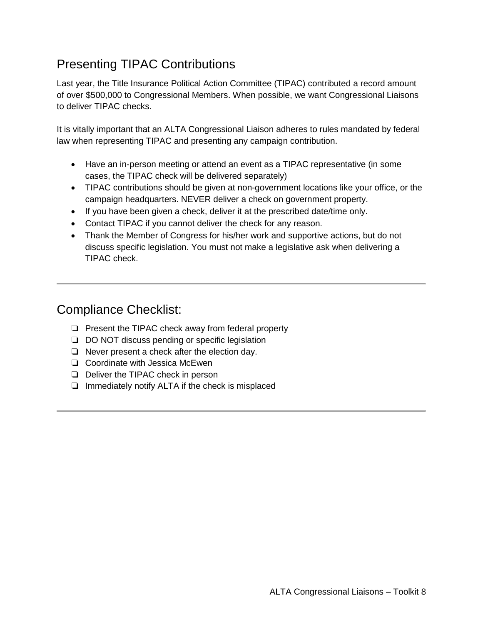# <span id="page-7-0"></span>Presenting TIPAC Contributions

Last year, the Title Insurance Political Action Committee (TIPAC) contributed a record amount of over \$500,000 to Congressional Members. When possible, we want Congressional Liaisons to deliver TIPAC checks.

It is vitally important that an ALTA Congressional Liaison adheres to rules mandated by federal law when representing TIPAC and presenting any campaign contribution.

- Have an in-person meeting or attend an event as a TIPAC representative (in some cases, the TIPAC check will be delivered separately)
- TIPAC contributions should be given at non-government locations like your office, or the campaign headquarters. NEVER deliver a check on government property.
- If you have been given a check, deliver it at the prescribed date/time only.
- Contact TIPAC if you cannot deliver the check for any reason.
- Thank the Member of Congress for his/her work and supportive actions, but do not discuss specific legislation. You must not make a legislative ask when delivering a TIPAC check.

#### <span id="page-7-1"></span>Compliance Checklist:

- ❏ Present the TIPAC check away from federal property
- ❏ DO NOT discuss pending or specific legislation
- ❏ Never present a check after the election day.
- ❏ Coordinate with Jessica McEwen
- ❏ Deliver the TIPAC check in person
- ❏ Immediately notify ALTA if the check is misplaced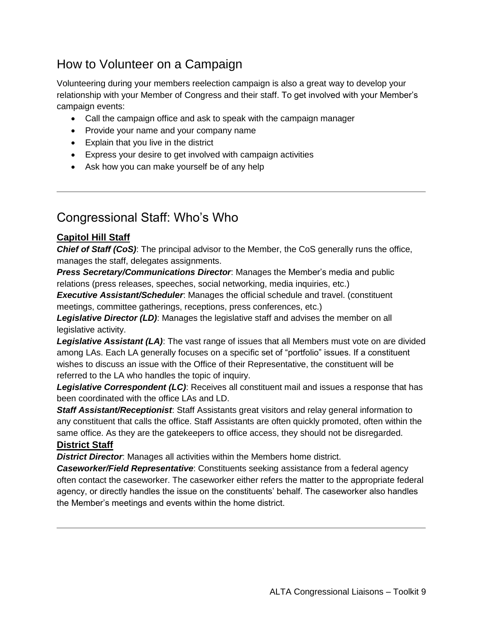# <span id="page-8-0"></span>How to Volunteer on a Campaign

Volunteering during your members reelection campaign is also a great way to develop your relationship with your Member of Congress and their staff. To get involved with your Member's campaign events:

- Call the campaign office and ask to speak with the campaign manager
- Provide your name and your company name
- Explain that you live in the district
- Express your desire to get involved with campaign activities
- Ask how you can make yourself be of any help

#### <span id="page-8-1"></span>Congressional Staff: Who's Who

#### **Capitol Hill Staff**

**Chief of Staff (CoS)**: The principal advisor to the Member, the CoS generally runs the office, manages the staff, delegates assignments.

*Press Secretary/Communications Director*: Manages the Member's media and public relations (press releases, speeches, social networking, media inquiries, etc.)

*Executive Assistant/Scheduler*: Manages the official schedule and travel. (constituent meetings, committee gatherings, receptions, press conferences, etc.)

*Legislative Director (LD)*: Manages the legislative staff and advises the member on all legislative activity.

*Legislative Assistant (LA)*: The vast range of issues that all Members must vote on are divided among LAs. Each LA generally focuses on a specific set of "portfolio" issues. If a constituent wishes to discuss an issue with the Office of their Representative, the constituent will be referred to the LA who handles the topic of inquiry.

*Legislative Correspondent (LC)*: Receives all constituent mail and issues a response that has been coordinated with the office LAs and LD.

*Staff Assistant/Receptionist*: Staff Assistants great visitors and relay general information to any constituent that calls the office. Staff Assistants are often quickly promoted, often within the same office. As they are the gatekeepers to office access, they should not be disregarded. **District Staff**

*District Director*: Manages all activities within the Members home district.

*Caseworker/Field Representative*: Constituents seeking assistance from a federal agency often contact the caseworker. The caseworker either refers the matter to the appropriate federal agency, or directly handles the issue on the constituents' behalf. The caseworker also handles the Member's meetings and events within the home district.